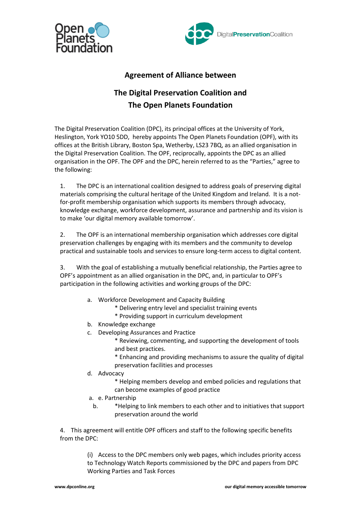



## **Agreement of Alliance between**

# **The Digital Preservation Coalition and The Open Planets Foundation**

The Digital Preservation Coalition (DPC), its principal offices at the University of York, Heslington, York YO10 5DD, hereby appoints The Open Planets Foundation (OPF), with its offices at the British Library, Boston Spa, Wetherby, LS23 7BQ, as an allied organisation in the Digital Preservation Coalition. The OPF, reciprocally, appoints the DPC as an allied organisation in the OPF. The OPF and the DPC, herein referred to as the "Parties," agree to the following:

1. The DPC is an international coalition designed to address goals of preserving digital materials comprising the cultural heritage of the United Kingdom and Ireland. It is a notfor-profit membership organisation which supports its members through advocacy, knowledge exchange, workforce development, assurance and partnership and its vision is to make 'our digital memory available tomorrow'.

2. The OPF is an international membership organisation which addresses core digital preservation challenges by engaging with its members and the community to develop practical and sustainable tools and services to ensure long-term access to digital content.

3. With the goal of establishing a mutually beneficial relationship, the Parties agree to OPF's appointment as an allied organisation in the DPC, and, in particular to OPF's participation in the following activities and working groups of the DPC:

- a. Workforce Development and Capacity Building
	- \* Delivering entry level and specialist training events
	- \* Providing support in curriculum development
- b. Knowledge exchange
- c. Developing Assurances and Practice
	- \* Reviewing, commenting, and supporting the development of tools and best practices.
	- \* Enhancing and providing mechanisms to assure the quality of digital preservation facilities and processes
- d. Advocacy
	- \* Helping members develop and embed policies and regulations that can become examples of good practice
- a. e. Partnership
	- b. \*Helping to link members to each other and to initiatives that support preservation around the world

4. This agreement will entitle OPF officers and staff to the following specific benefits from the DPC:

> (i) Access to the DPC members only web pages, which includes priority access to Technology Watch Reports commissioned by the DPC and papers from DPC Working Parties and Task Forces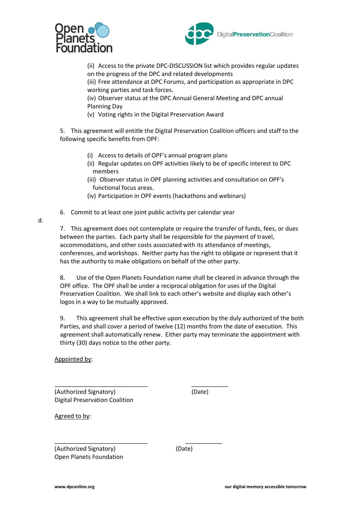



(ii) Access to the private DPC-DISCUSSION list which provides regular updates on the progress of the DPC and related developments

(iii) Free attendance at DPC Forums, and participation as appropriate in DPC working parties and task forces.

(iv) Observer status at the DPC Annual General Meeting and DPC annual Planning Day

(v) Voting rights in the Digital Preservation Award

5. This agreement will entitle the Digital Preservation Coalition officers and staff to the following specific benefits from OPF:

- (i) Access to details of OPF's annual program plans
- (ii) Regular updates on OPF activities likely to be of specific interest to DPC members
- (iii) Observer status in OPF planning activities and consultation on OPF's functional focus areas.
- (iv) Participation in OPF events (hackathons and webinars)
- 6. Commit to at least one joint public activity per calendar year

\_\_\_\_\_\_\_\_\_\_\_\_\_\_\_\_\_\_\_\_\_\_\_\_\_\_\_\_ \_\_\_\_\_\_\_\_\_\_\_

\_\_\_\_\_\_\_\_\_\_\_\_\_\_\_\_\_\_\_\_\_\_\_\_\_\_\_\_ \_\_\_\_\_\_\_\_\_\_\_

7. This agreement does not contemplate or require the transfer of funds, fees, or dues between the parties. Each party shall be responsible for the payment of travel, accommodations, and other costs associated with its attendance of meetings, conferences, and workshops. Neither party has the right to obligate or represent that it has the authority to make obligations on behalf of the other party.

8. Use of the Open Planets Foundation name shall be cleared in advance through the OPF office. The OPF shall be under a reciprocal obligation for uses of the Digital Preservation Coalition. We shall link to each other's website and display each other's logos in a way to be mutually approved.

9. This agreement shall be effective upon execution by the duly authorized of the both Parties, and shall cover a period of twelve (12) months from the date of execution. This agreement shall automatically renew. Either party may terminate the appointment with thirty (30) days notice to the other party.

Appointed by:

d.

(Authorized Signatory) (Date) Digital Preservation Coalition

Agreed to by:

(Authorized Signatory) (Date) Open Planets Foundation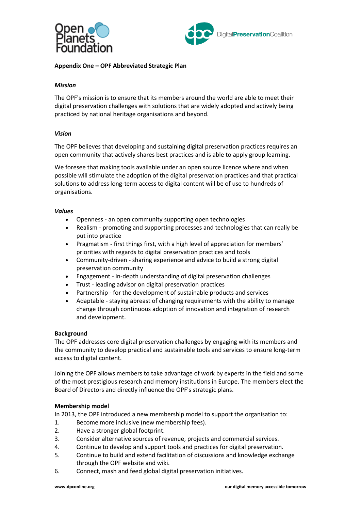



## **Appendix One – OPF Abbreviated Strategic Plan**

## *Mission*

The OPF's mission is to ensure that its members around the world are able to meet their digital preservation challenges with solutions that are widely adopted and actively being practiced by national heritage organisations and beyond.

#### *Vision*

The OPF believes that developing and sustaining digital preservation practices requires an open community that actively shares best practices and is able to apply group learning.

We foresee that making tools available under an open source licence where and when possible will stimulate the adoption of the digital preservation practices and that practical solutions to address long-term access to digital content will be of use to hundreds of organisations.

#### *Values*

- Openness an open community supporting open technologies
- Realism promoting and supporting processes and technologies that can really be put into practice
- Pragmatism first things first, with a high level of appreciation for members' priorities with regards to digital preservation practices and tools
- Community-driven sharing experience and advice to build a strong digital preservation community
- Engagement in-depth understanding of digital preservation challenges
- Trust leading advisor on digital preservation practices
- Partnership for the development of sustainable products and services
- Adaptable staying abreast of changing requirements with the ability to manage change through continuous adoption of innovation and integration of research and development.

#### **Background**

The OPF addresses core digital preservation challenges by engaging with its members and the community to develop practical and sustainable tools and services to ensure long-term access to digital content.

Joining the OPF allows members to take advantage of work by experts in the field and some of the most prestigious research and memory institutions in Europe. The members elect the Board of Directors and directly influence the OPF's strategic plans.

#### **Membership model**

In 2013, the OPF introduced a new membership model to support the organisation to:

- 1. Become more inclusive (new membership fees).
- 2. Have a stronger global footprint.
- 3. Consider alternative sources of revenue, projects and commercial services.
- 4. Continue to develop and support tools and practices for digital preservation.
- 5. Continue to build and extend facilitation of discussions and knowledge exchange through the OPF website and wiki.
- 6. Connect, mash and feed global digital preservation initiatives.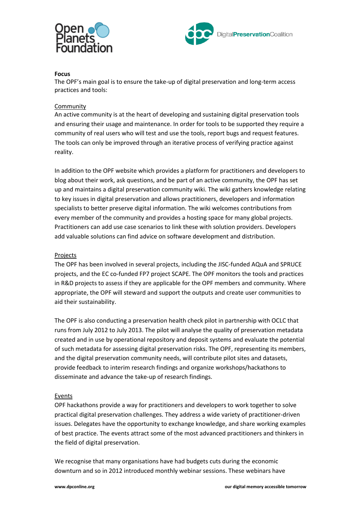



## **Focus**

The OPF's main goal is to ensure the take-up of digital preservation and long-term access practices and tools:

## Community

An active community is at the heart of developing and sustaining digital preservation tools and ensuring their usage and maintenance. In order for tools to be supported they require a community of real users who will test and use the tools, report bugs and request features. The tools can only be improved through an iterative process of verifying practice against reality.

In addition to the OPF website which provides a platform for practitioners and developers to blog about their work, ask questions, and be part of an active community, the OPF has set up and maintains a digital preservation community wiki. The wiki gathers knowledge relating to key issues in digital preservation and allows practitioners, developers and information specialists to better preserve digital information. The wiki welcomes contributions from every member of the community and provides a hosting space for many global projects. Practitioners can add use case scenarios to link these with solution providers. Developers add valuable solutions can find advice on software development and distribution.

## Projects

The OPF has been involved in several projects, including the JISC-funded AQuA and SPRUCE projects, and the EC co-funded FP7 project SCAPE. The OPF monitors the tools and practices in R&D projects to assess if they are applicable for the OPF members and community. Where appropriate, the OPF will steward and support the outputs and create user communities to aid their sustainability.

The OPF is also conducting a preservation health check pilot in partnership with OCLC that runs from July 2012 to July 2013. The pilot will analyse the quality of preservation metadata created and in use by operational repository and deposit systems and evaluate the potential of such metadata for assessing digital preservation risks. The OPF, representing its members, and the digital preservation community needs, will contribute pilot sites and datasets, provide feedback to interim research findings and organize workshops/hackathons to disseminate and advance the take-up of research findings.

## Events

OPF hackathons provide a way for practitioners and developers to work together to solve practical digital preservation challenges. They address a wide variety of practitioner-driven issues. Delegates have the opportunity to exchange knowledge, and share working examples of best practice. The events attract some of the most advanced practitioners and thinkers in the field of digital preservation.

We recognise that many organisations have had budgets cuts during the economic downturn and so in 2012 introduced monthly webinar sessions. These webinars have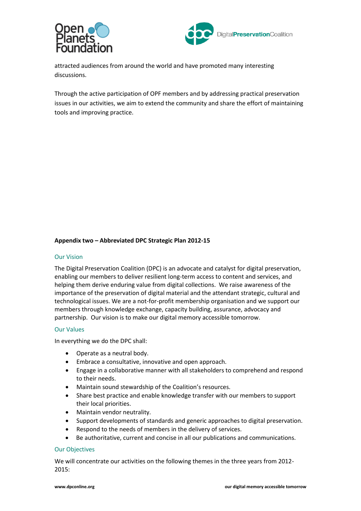



attracted audiences from around the world and have promoted many interesting discussions.

Through the active participation of OPF members and by addressing practical preservation issues in our activities, we aim to extend the community and share the effort of maintaining tools and improving practice.

## **Appendix two – Abbreviated DPC Strategic Plan 2012-15**

#### Our Vision

The Digital Preservation Coalition (DPC) is an advocate and catalyst for digital preservation, enabling our members to deliver resilient long-term access to content and services, and helping them derive enduring value from digital collections. We raise awareness of the importance of the preservation of digital material and the attendant strategic, cultural and technological issues. We are a not-for-profit membership organisation and we support our members through knowledge exchange, capacity building, assurance, advocacy and partnership. Our vision is to make our digital memory accessible tomorrow.

## Our Values

In everything we do the DPC shall:

- Operate as a neutral body.
- Embrace a consultative, innovative and open approach.
- Engage in a collaborative manner with all stakeholders to comprehend and respond to their needs.
- Maintain sound stewardship of the Coalition's resources.
- Share best practice and enable knowledge transfer with our members to support their local priorities.
- Maintain vendor neutrality.
- Support developments of standards and generic approaches to digital preservation.
- Respond to the needs of members in the delivery of services.
- Be authoritative, current and concise in all our publications and communications.

#### Our Objectives

We will concentrate our activities on the following themes in the three years from 2012- 2015: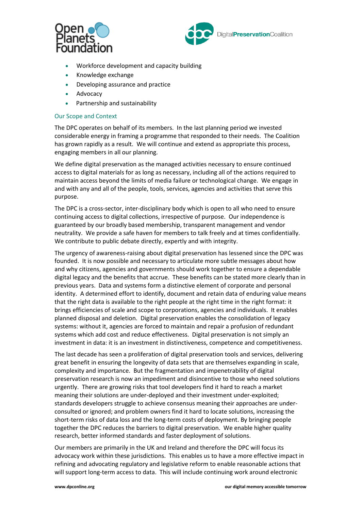



- Workforce development and capacity building
- Knowledge exchange
- Developing assurance and practice
- Advocacy
- Partnership and sustainability

#### Our Scope and Context

The DPC operates on behalf of its members. In the last planning period we invested considerable energy in framing a programme that responded to their needs. The Coalition has grown rapidly as a result. We will continue and extend as appropriate this process, engaging members in all our planning.

We define digital preservation as the managed activities necessary to ensure continued access to digital materials for as long as necessary, including all of the actions required to maintain access beyond the limits of media failure or technological change. We engage in and with any and all of the people, tools, services, agencies and activities that serve this purpose.

The DPC is a cross-sector, inter-disciplinary body which is open to all who need to ensure continuing access to digital collections, irrespective of purpose. Our independence is guaranteed by our broadly based membership, transparent management and vendor neutrality. We provide a safe haven for members to talk freely and at times confidentially. We contribute to public debate directly, expertly and with integrity.

The urgency of awareness-raising about digital preservation has lessened since the DPC was founded. It is now possible and necessary to articulate more subtle messages about how and why citizens, agencies and governments should work together to ensure a dependable digital legacy and the benefits that accrue. These benefits can be stated more clearly than in previous years. Data and systems form a distinctive element of corporate and personal identity. A determined effort to identify, document and retain data of enduring value means that the right data is available to the right people at the right time in the right format: it brings efficiencies of scale and scope to corporations, agencies and individuals. It enables planned disposal and deletion. Digital preservation enables the consolidation of legacy systems: without it, agencies are forced to maintain and repair a profusion of redundant systems which add cost and reduce effectiveness. Digital preservation is not simply an investment in data: it is an investment in distinctiveness, competence and competitiveness.

The last decade has seen a proliferation of digital preservation tools and services, delivering great benefit in ensuring the longevity of data sets that are themselves expanding in scale, complexity and importance. But the fragmentation and impenetrability of digital preservation research is now an impediment and disincentive to those who need solutions urgently. There are growing risks that tool developers find it hard to reach a market meaning their solutions are under-deployed and their investment under-exploited; standards developers struggle to achieve consensus meaning their approaches are underconsulted or ignored; and problem owners find it hard to locate solutions, increasing the short-term risks of data loss and the long-term costs of deployment. By bringing people together the DPC reduces the barriers to digital preservation. We enable higher quality research, better informed standards and faster deployment of solutions.

Our members are primarily in the UK and Ireland and therefore the DPC will focus its advocacy work within these jurisdictions. This enables us to have a more effective impact in refining and advocating regulatory and legislative reform to enable reasonable actions that will support long-term access to data. This will include continuing work around electronic